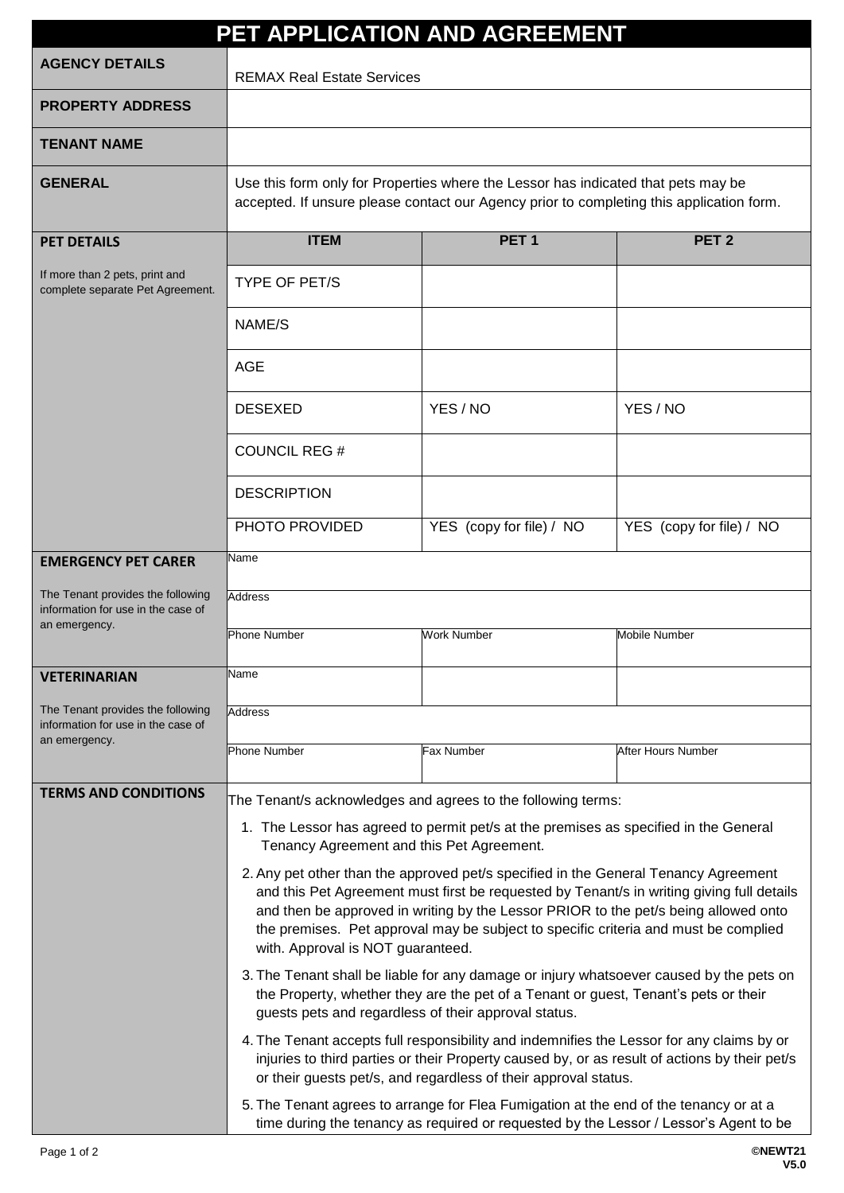| PET APPLICATION AND AGREEMENT                                           |                                                                                                                                                                                                                                                                                                                                                                                                     |                          |                          |  |  |
|-------------------------------------------------------------------------|-----------------------------------------------------------------------------------------------------------------------------------------------------------------------------------------------------------------------------------------------------------------------------------------------------------------------------------------------------------------------------------------------------|--------------------------|--------------------------|--|--|
| <b>AGENCY DETAILS</b>                                                   | <b>REMAX Real Estate Services</b>                                                                                                                                                                                                                                                                                                                                                                   |                          |                          |  |  |
| <b>PROPERTY ADDRESS</b>                                                 |                                                                                                                                                                                                                                                                                                                                                                                                     |                          |                          |  |  |
| <b>TENANT NAME</b>                                                      |                                                                                                                                                                                                                                                                                                                                                                                                     |                          |                          |  |  |
| <b>GENERAL</b>                                                          | Use this form only for Properties where the Lessor has indicated that pets may be<br>accepted. If unsure please contact our Agency prior to completing this application form.                                                                                                                                                                                                                       |                          |                          |  |  |
| <b>PET DETAILS</b>                                                      | <b>ITEM</b>                                                                                                                                                                                                                                                                                                                                                                                         | PET <sub>1</sub>         | PET <sub>2</sub>         |  |  |
| If more than 2 pets, print and<br>complete separate Pet Agreement.      | <b>TYPE OF PET/S</b>                                                                                                                                                                                                                                                                                                                                                                                |                          |                          |  |  |
|                                                                         | NAME/S                                                                                                                                                                                                                                                                                                                                                                                              |                          |                          |  |  |
|                                                                         | AGE                                                                                                                                                                                                                                                                                                                                                                                                 |                          |                          |  |  |
|                                                                         | <b>DESEXED</b>                                                                                                                                                                                                                                                                                                                                                                                      | YES / NO                 | YES / NO                 |  |  |
|                                                                         | <b>COUNCIL REG #</b>                                                                                                                                                                                                                                                                                                                                                                                |                          |                          |  |  |
|                                                                         | <b>DESCRIPTION</b>                                                                                                                                                                                                                                                                                                                                                                                  |                          |                          |  |  |
|                                                                         | PHOTO PROVIDED                                                                                                                                                                                                                                                                                                                                                                                      | YES (copy for file) / NO | YES (copy for file) / NO |  |  |
| <b>EMERGENCY PET CARER</b>                                              | Name                                                                                                                                                                                                                                                                                                                                                                                                |                          |                          |  |  |
| The Tenant provides the following<br>information for use in the case of | <b>Address</b>                                                                                                                                                                                                                                                                                                                                                                                      |                          |                          |  |  |
| an emergency.                                                           | <b>Phone Number</b>                                                                                                                                                                                                                                                                                                                                                                                 | <b>Work Number</b>       | <b>Mobile Number</b>     |  |  |
| <b>VETERINARIAN</b>                                                     | Name                                                                                                                                                                                                                                                                                                                                                                                                |                          |                          |  |  |
| The Tenant provides the following<br>information for use in the case of | Address                                                                                                                                                                                                                                                                                                                                                                                             |                          |                          |  |  |
| an emergency.                                                           | <b>Phone Number</b>                                                                                                                                                                                                                                                                                                                                                                                 | Fax Number               | After Hours Number       |  |  |
| <b>TERMS AND CONDITIONS</b>                                             | The Tenant/s acknowledges and agrees to the following terms:                                                                                                                                                                                                                                                                                                                                        |                          |                          |  |  |
|                                                                         | 1. The Lessor has agreed to permit pet/s at the premises as specified in the General<br>Tenancy Agreement and this Pet Agreement.                                                                                                                                                                                                                                                                   |                          |                          |  |  |
|                                                                         | 2. Any pet other than the approved pet/s specified in the General Tenancy Agreement<br>and this Pet Agreement must first be requested by Tenant/s in writing giving full details<br>and then be approved in writing by the Lessor PRIOR to the pet/s being allowed onto<br>the premises. Pet approval may be subject to specific criteria and must be complied<br>with. Approval is NOT guaranteed. |                          |                          |  |  |
|                                                                         | 3. The Tenant shall be liable for any damage or injury whatsoever caused by the pets on<br>the Property, whether they are the pet of a Tenant or guest, Tenant's pets or their<br>guests pets and regardless of their approval status.                                                                                                                                                              |                          |                          |  |  |
|                                                                         | 4. The Tenant accepts full responsibility and indemnifies the Lessor for any claims by or<br>injuries to third parties or their Property caused by, or as result of actions by their pet/s<br>or their guests pet/s, and regardless of their approval status.                                                                                                                                       |                          |                          |  |  |
|                                                                         | 5. The Tenant agrees to arrange for Flea Fumigation at the end of the tenancy or at a<br>time during the tenancy as required or requested by the Lessor / Lessor's Agent to be                                                                                                                                                                                                                      |                          |                          |  |  |